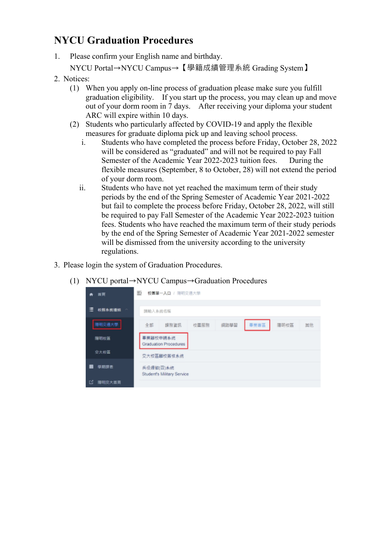## **NYCU Graduation Procedures**

- 1. Please confirm your English name and birthday.
	- NYCU Portal→NYCU Campus→【學籍成績管理系統 Grading System】
- 2. Notices:
	- (1) When you apply on-line process of graduation please make sure you fulfill graduation eligibility. If you start up the process, you may clean up and move out of your dorm room in 7 days. After receiving your diploma your student ARC will expire within 10 days.
	- (2) Students who particularly affected by COVID-19 and apply the flexible measures for graduate diploma pick up and leaving school process.
		- i. Students who have completed the process before Friday, October 28, 2022 will be considered as "graduated" and will not be required to pay Fall Semester of the Academic Year 2022-2023 tuition fees. During the flexible measures (September, 8 to October, 28) will not extend the period of your dorm room.
		- ii. Students who have not yet reached the maximum term of their study periods by the end of the Spring Semester of Academic Year 2021-2022 but fail to complete the process before Friday, October 28, 2022, will still be required to pay Fall Semester of the Academic Year 2022-2023 tuition fees. Students who have reached the maximum term of their study periods by the end of the Spring Semester of Academic Year 2021-2022 semester will be dismissed from the university according to the university regulations.
- 3. Please login the system of Graduation Procedures.
	- (1) NYCU portal→NYCU Campus→Graduation Procedures

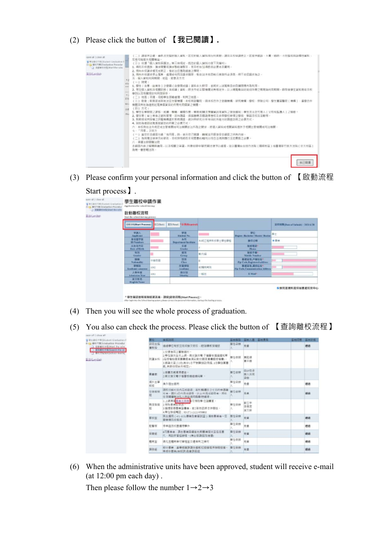(2) Please click the button of 【**我已閱讀】.**

| cannot all 1 classe all.<br>U W 6 86 CHI 21 Visitori Coultrative 11<br>Dida MH/1910 adaptive Percenter<br><b>LO REMONSTRATIVALLE</b><br><b>SED Leither</b> | (三) 清照拼正错,而你对更整的银人菌科,若它的银人菌科海压回真都,清阳本权导读责臣。若是拼脑族、小翼、矮鸥、小男型美国新媒种黄料。<br><b>双格印绘材史如属操证。</b><br>(三) 柴排「個人資料保護法」無三席現定, 然您的個人識別行像下列權利:<br>1. 将印本校直施·猜求障魔而施水裂柏顿裂本、而本校幼压得的视必更点丰藏用。<br>2. 傅和本校講求領充班更正: 他依法您應為通常之簿明。<br>3、师和本校提求师让蒐集、虞理成和国发援求照牌,惟依注:本校因他行首批所必须怎,挥不依经绩爽起之。<br>五、偏人被和利用期間、回區、射象及方式<br>$(-)$ 测望:<br>1. 學生 ( 含雅 · 动圈生 ) 之愛鎮 ( 含變電低議 ) 菌科永久积存 - 並成於上述知識过出存填障理内取利用 -<br>2. 房生强人管拟苏格蒙纺神《食成播》管制,独法专业实践:伸醒另来现30%,23上展围集局的实业所带之期聚制利用期限。提取地基生管利界电本校<br>基则以及推输增加利用剂量容。<br>(二)地面:丰道、双规模生活健康度、利用之地區。<br>(三) 對象:較育部紅耳独注定生質機關。本校教芸醫院。資本紹合作之金離機構、研究機構、變校、使陪公司、歷生實習醫院(機構)、產療合作<br>機關及其他為連前試英集密資目的所需有印程資之機體。<br>(四)方式:<br>$10 - 10$<br>1. 學生在學院關之課題。成績、學籍、補精作業、學期被購及预醫資訊等資料之發施購知:學生差活定代理人《父母拓監護人》之聯絡。<br>2. 學生軍 ( 疑 ) 萧连之道料管理,还向酒道,追其韩寒及膝随着整座投友参购壁经修理之壁图,聪明发给东江都常。<br>3、知府部成将探捕之诉案精魄基於假府踊迹,疏封仰伏定:分析等日的所能行的期待訪前之必要为过。<br>4. 耳形导理百述策集但首目的用需之必要万式。<br>六、本校政治法令观想被生管藥期夜百法轉開於法所為之體家。將個人資料或根開算科提供予相關生簡藥開或司法轉開。<br>七一「同意」之效力<br>(一) 皇位於本綱首句綱「有四草」詩、書元忽已開講、驟解並同葉尊受本綱首之所有内容。<br>(二) 助耳康法律体交给被改; 活核弹药被改本预算表的瞳利以符合法理则履行证支票格交多要。<br>八、準備注即管轄注照<br>本朝面内将之解释同编辑,以及相關之爭議,拘谨依照中顯民觀法律予以選擇,並以重奪自主地方法與 (離砌校議 ) 或重獲新竹並方法院 ( 立大柱區 )<br>為第一書皆壁法院: |
|------------------------------------------------------------------------------------------------------------------------------------------------------------|----------------------------------------------------------------------------------------------------------------------------------------------------------------------------------------------------------------------------------------------------------------------------------------------------------------------------------------------------------------------------------------------------------------------------------------------------------------------------------------------------------------------------------------------------------------------------------------------------------------------------------------------------------------------------------------------------------------------------------------------------------------------------------------------------------------------------------------------------------------------------------------------------------------------------------------------------------------------------------------------------------------------------------------------------------------------------------------------------------------|
|                                                                                                                                                            | 例に関係                                                                                                                                                                                                                                                                                                                                                                                                                                                                                                                                                                                                                                                                                                                                                                                                                                                                                                                                                                                                                                                                                                           |

(3) Please confirm your personal information and click the button of 【啟動流程

| assim all 1 class all.<br>N WYW479929(adox) Oraclustion E<br>Herr MITTH Equilianties Procedur<br>- 3 BORNEOUS ESTATE THE NEW<br>EH Ler Dut) | 學生雕校申請作業<br>Application for school burring<br>散動離校流程<br>lear the school-leaving process |               |                                    |               |                                                     |                              |
|---------------------------------------------------------------------------------------------------------------------------------------------|-----------------------------------------------------------------------------------------|---------------|------------------------------------|---------------|-----------------------------------------------------|------------------------------|
|                                                                                                                                             | <b>DESVISION Process)</b>                                                               | <b>CORANT</b> | Elition Fifth Reported             |               |                                                     | 延伸器制造as ad Sabeald: 38316/28 |
|                                                                                                                                             | 建筑头<br>Applicant                                                                        |               | 模块<br><b>Brighton No.</b>          |               | 90 <sup>o</sup><br>Begree: Backeter: Marier: Dealer | 事士                           |
|                                                                                                                                             | 身分理学技<br><b>Hi-Numbers</b>                                                              |               | 為同<br><b>Department facilitate</b> | 当時工程再有任業土壌位等症 | 操作の機                                                | <b>4.000</b>                 |
|                                                                                                                                             | 出身復興日<br>Date of Earth                                                                  |               | 信頼<br><b>Cirades</b>               |               | <b>BEM REGEN</b><br>Phone:                          |                              |
|                                                                                                                                             | 推理<br>Genéve                                                                            | n             | œ<br>Grieg                         | 新肉醇           | 製品等機"<br><b>Mahilla Nomikar</b>                     |                              |
|                                                                                                                                             | 宜日<br>Nationality                                                                       | は世界首          | 出版<br>Chers.                       | D.            | 新建设地,开始结果?<br>The Code Registered address:          | ÷                            |
|                                                                                                                                             | 学科区<br>Arademic temptars                                                                | LORS:         | 外装学院<br>Aradiana                   | 前頭能精度         | ■ 老证 理,通訊信 紀*<br>fly Cade Communication Address     |                              |
|                                                                                                                                             | 入科学院<br>Administration Views                                                            | DOS E         | 降分级<br><b>Silmann</b>              | 一班生           | EMAP                                                |                              |
|                                                                                                                                             | 腐文姓名<br><b>Engine News</b>                                                              |               |                                    |               |                                                     |                              |
|                                                                                                                                             |                                                                                         |               |                                    |               |                                                     | 自我問意資料提供秘書處咬友中心              |

- (4) Then you will see the whole process of graduation.
- (5) You also can check the process. Please click the button of 【查詢離校流程】

| 基本单位中等(Student Graduation)                                                                                 | 奇拉          | 单部设装                                                                                                                       | 芸術科製       | 医核入器 医样素素          | <b>英制范围</b> | 蓝锌过程                |
|------------------------------------------------------------------------------------------------------------|-------------|----------------------------------------------------------------------------------------------------------------------------|------------|--------------------|-------------|---------------------|
| G BUTBISHARE PERAL<br><b>EXT SERIESTRISSE THE STH.</b>                                                     | 研究信指<br>单加投 | 通過學犯有關百兆或論又溶設、經指護教授建筑                                                                                                      | 展位平野 先番    |                    |             | 總務                  |
| 3 适为器时 作单 Search that ad-<br><b>CONTRACTORS IN THE REAL PROPERTY AND INCOME.</b><br><b>E</b> Hill an Chair |             | 上交連集局之實験語対。<br>上學位論文全文上质,君文論文電子檔圖世圖圖鑑知事<br>抗議系统 1石技術地國及新書館在美国地交通及新書館空留書)。<br>3.施論文面リ28/其中」を平衡開始計画版、1本開始業豊<br>舰, 网络位得太所接定)。 | 单位求领       | 第紅條<br>第三体         |             |                     |
|                                                                                                            | 医直然         | 3.得團及解痛清優金。<br>3. 東京地文電子塩害作得経過以前 。                                                                                         | 開信衛隊       | 中国地<br>意大众意<br>246 |             |                     |
|                                                                                                            | 病外性薬<br>核媒  | 進兵陸を建用                                                                                                                     | 単位承担       | 先表                 |             | <b><i>SR 85</i></b> |
|                                                                                                            | 住宿报联        | 講照日候七日内高成雄雄:新然解禮日立七日内申請離<br>市場 · 請別」日内菜店委員 · 以上地菜或提搭備 · 修竹<br>位面護護財団私人物品規同商藝物理理。                                           | 单位求别       | 北索                 |             | 1818                |
|                                                                                                            | 12          | 1.上病病等歴史工程会員可保取事位語書官。<br>数周設置 上條取業業記念品:<br>3.缓度超表覆盖温囊者,前2项功能质含新卷线。<br>is 單位聯結電話: 65-371-2121 #50mW3                        | 基位来源<br>×. | 御空半<br>空復茶<br>富文桥  |             |                     |
|                                                                                                            | 要別家         | 天立漢四 (41-63) 春菜文會要計23 ) 浅地華美香一工<br>事业报告和审                                                                                  | 带位采烟       | 9.92               |             | <b>MIA</b>          |
|                                                                                                            | 註醫部         | 停車道及校園連想事件                                                                                                                 | 单位采烟       | 光表                 |             | 轉移                  |
|                                                                                                            | 保管纸         | ※口管楽者·読在豊柴両橋協先所標業駅2交互告託豊<br>代:再到世間協想裡~(博士提進個別推理)                                                                           | 单位承责       | 中窗                 |             | 研読                  |
|                                                                                                            | 精度服         | 博先史精朗勝初管理直交連備用之勝材                                                                                                          | 单位承销       | 中国                 |             | 精练                  |
|                                                                                                            | 国际部         | 1000要新:雷摩城省課課你追城巡侦摄取不到理侦捕。 理位示制<br><b>单项中断单位同等位置接近</b>                                                                     |            | 新营                 |             | 辅助                  |

(6) When the administrative units have been approved, student will receive e-mail (at 12:00 pm each day) .

Then please follow the number  $1 \rightarrow 2 \rightarrow 3$